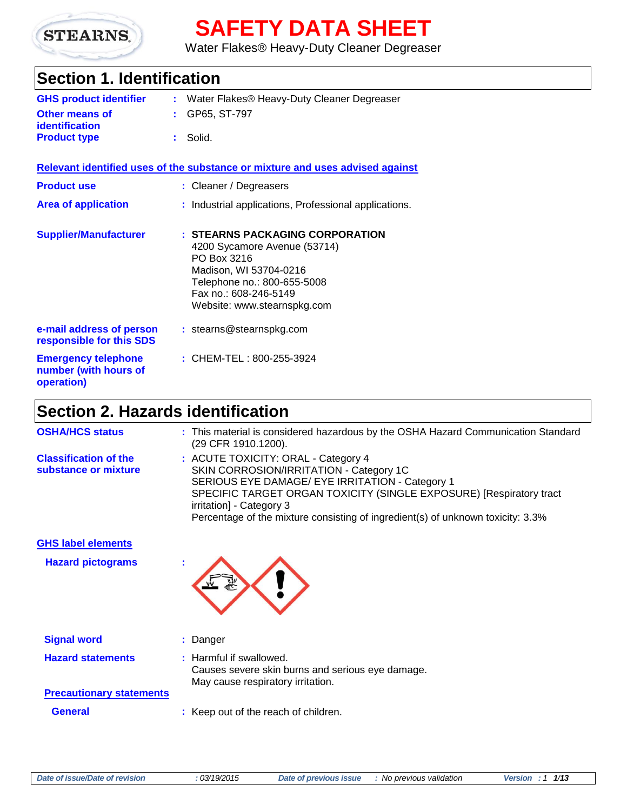

# **SAFETY DATA SHEET**

Water Flakes® Heavy-Duty Cleaner Degreaser

# **Section 1. Identification**

| <b>GHS product identifier</b>           | : Water Flakes® Heavy-Duty Cleaner Degreaser |
|-----------------------------------------|----------------------------------------------|
| <b>Other means of</b><br>identification | $\div$ GP65. ST-797                          |
| <b>Product type</b>                     | : Solid.                                     |

**Relevant identified uses of the substance or mixture and uses advised against**

| <b>Product use</b>                                                | : Cleaner / Degreasers                                                                                                                                                                          |
|-------------------------------------------------------------------|-------------------------------------------------------------------------------------------------------------------------------------------------------------------------------------------------|
| <b>Area of application</b>                                        | : Industrial applications, Professional applications.                                                                                                                                           |
| <b>Supplier/Manufacturer</b>                                      | : STEARNS PACKAGING CORPORATION<br>4200 Sycamore Avenue (53714)<br>PO Box 3216<br>Madison, WI 53704-0216<br>Telephone no.: 800-655-5008<br>Fax no.: 608-246-5149<br>Website: www.stearnspkg.com |
| e-mail address of person<br>responsible for this SDS              | $:$ stearns@stearnspkg.com                                                                                                                                                                      |
| <b>Emergency telephone</b><br>number (with hours of<br>operation) | : CHEM-TEL: 800-255-3924                                                                                                                                                                        |

# **Section 2. Hazards identification**

| <b>OSHA/HCS status</b>                               | : This material is considered hazardous by the OSHA Hazard Communication Standard<br>(29 CFR 1910.1200).                                                                                                                                                                                                                |
|------------------------------------------------------|-------------------------------------------------------------------------------------------------------------------------------------------------------------------------------------------------------------------------------------------------------------------------------------------------------------------------|
| <b>Classification of the</b><br>substance or mixture | : ACUTE TOXICITY: ORAL - Category 4<br>SKIN CORROSION/IRRITATION - Category 1C<br>SERIOUS EYE DAMAGE/ EYE IRRITATION - Category 1<br>SPECIFIC TARGET ORGAN TOXICITY (SINGLE EXPOSURE) [Respiratory tract<br>irritation] - Category 3<br>Percentage of the mixture consisting of ingredient(s) of unknown toxicity: 3.3% |
| <b>GHS label elements</b>                            |                                                                                                                                                                                                                                                                                                                         |
| <b>Hazard pictograms</b>                             |                                                                                                                                                                                                                                                                                                                         |
| <b>Signal word</b>                                   | : Danger                                                                                                                                                                                                                                                                                                                |
| <b>Hazard statements</b>                             | : Harmful if swallowed.<br>Causes severe skin burns and serious eye damage.<br>May cause respiratory irritation.                                                                                                                                                                                                        |
| <b>Precautionary statements</b>                      |                                                                                                                                                                                                                                                                                                                         |
| <b>General</b>                                       | : Keep out of the reach of children.                                                                                                                                                                                                                                                                                    |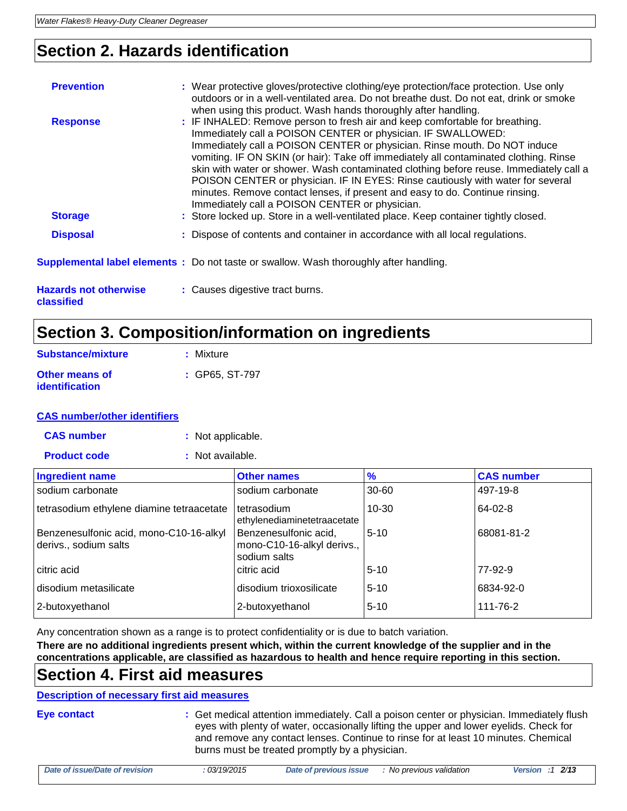# **Section 2. Hazards identification**

| <b>Prevention</b><br><b>Response</b>       | : Wear protective gloves/protective clothing/eye protection/face protection. Use only<br>outdoors or in a well-ventilated area. Do not breathe dust. Do not eat, drink or smoke<br>when using this product. Wash hands thoroughly after handling.<br>: IF INHALED: Remove person to fresh air and keep comfortable for breathing.<br>Immediately call a POISON CENTER or physician. IF SWALLOWED:<br>Immediately call a POISON CENTER or physician. Rinse mouth. Do NOT induce<br>vomiting. IF ON SKIN (or hair): Take off immediately all contaminated clothing. Rinse |
|--------------------------------------------|-------------------------------------------------------------------------------------------------------------------------------------------------------------------------------------------------------------------------------------------------------------------------------------------------------------------------------------------------------------------------------------------------------------------------------------------------------------------------------------------------------------------------------------------------------------------------|
| <b>Storage</b>                             | skin with water or shower. Wash contaminated clothing before reuse. Immediately call a<br>POISON CENTER or physician. IF IN EYES: Rinse cautiously with water for several<br>minutes. Remove contact lenses, if present and easy to do. Continue rinsing.<br>Immediately call a POISON CENTER or physician.<br>: Store locked up. Store in a well-ventilated place. Keep container tightly closed.                                                                                                                                                                      |
| <b>Disposal</b>                            | : Dispose of contents and container in accordance with all local regulations.                                                                                                                                                                                                                                                                                                                                                                                                                                                                                           |
|                                            | <b>Supplemental label elements</b> : Do not taste or swallow. Wash thoroughly after handling.                                                                                                                                                                                                                                                                                                                                                                                                                                                                           |
| <b>Hazards not otherwise</b><br>classified | : Causes digestive tract burns.                                                                                                                                                                                                                                                                                                                                                                                                                                                                                                                                         |

# **Section 3. Composition/information on ingredients**

| Substance/mixture                       | : Mixture        |
|-----------------------------------------|------------------|
| Other means of<br><b>identification</b> | $:$ GP65. ST-797 |

## **CAS number/other identifiers**

**CAS number :** Not applicable.

**Product code :** Not available.

| <b>Ingredient name</b>                                           | <b>Other names</b>                                                  | $\frac{9}{6}$ | <b>CAS number</b> |
|------------------------------------------------------------------|---------------------------------------------------------------------|---------------|-------------------|
| sodium carbonate                                                 | sodium carbonate                                                    | 30-60         | 497-19-8          |
| tetrasodium ethylene diamine tetraacetate                        | I tetrasodium<br>ethylenediaminetetraacetate                        | $10 - 30$     | 64-02-8           |
| Benzenesulfonic acid, mono-C10-16-alkyl<br>derivs., sodium salts | Benzenesulfonic acid,<br>mono-C10-16-alkyl derivs.,<br>sodium salts | $5 - 10$      | 68081-81-2        |
| citric acid                                                      | citric acid                                                         | $5 - 10$      | 77-92-9           |
| disodium metasilicate                                            | disodium trioxosilicate                                             | $5 - 10$      | 6834-92-0         |
| 2-butoxyethanol                                                  | 2-butoxyethanol                                                     | $5 - 10$      | 111-76-2          |

Any concentration shown as a range is to protect confidentiality or is due to batch variation.

**There are no additional ingredients present which, within the current knowledge of the supplier and in the concentrations applicable, are classified as hazardous to health and hence require reporting in this section.**

## **Section 4. First aid measures**

## **Description of necessary first aid measures**

| Eye contact | : Get medical attention immediately. Call a poison center or physician. Immediately flush |
|-------------|-------------------------------------------------------------------------------------------|
|             | eyes with plenty of water, occasionally lifting the upper and lower eyelids. Check for    |
|             | and remove any contact lenses. Continue to rinse for at least 10 minutes. Chemical        |
|             | burns must be treated promptly by a physician.                                            |

| Date of issue/Date of revision | 03/19/2015 | Date of previous issue | No previous validation | 2/13<br><b>Version</b><br>- - |
|--------------------------------|------------|------------------------|------------------------|-------------------------------|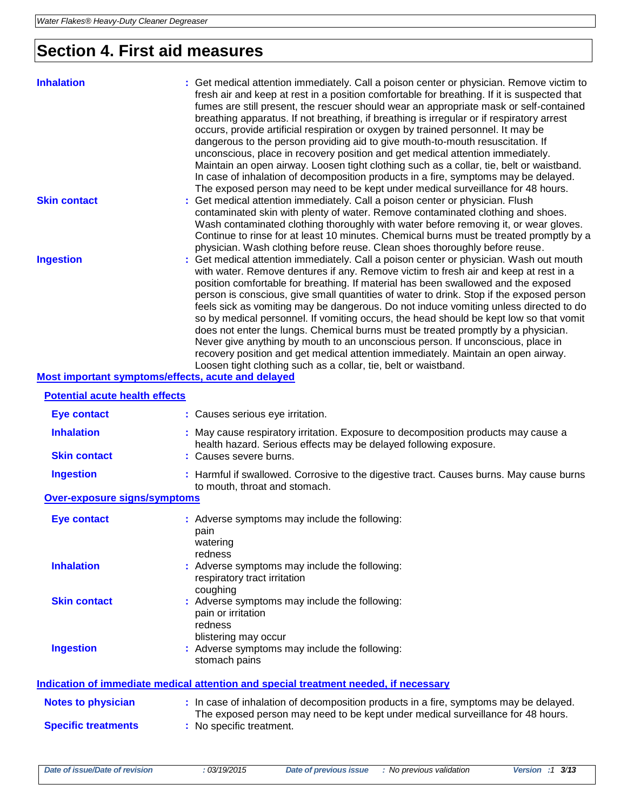# **Section 4. First aid measures**

| <b>Inhalation</b>                                  | : Get medical attention immediately. Call a poison center or physician. Remove victim to<br>fresh air and keep at rest in a position comfortable for breathing. If it is suspected that<br>fumes are still present, the rescuer should wear an appropriate mask or self-contained<br>breathing apparatus. If not breathing, if breathing is irregular or if respiratory arrest<br>occurs, provide artificial respiration or oxygen by trained personnel. It may be<br>dangerous to the person providing aid to give mouth-to-mouth resuscitation. If<br>unconscious, place in recovery position and get medical attention immediately.<br>Maintain an open airway. Loosen tight clothing such as a collar, tie, belt or waistband.<br>In case of inhalation of decomposition products in a fire, symptoms may be delayed.<br>The exposed person may need to be kept under medical surveillance for 48 hours. |
|----------------------------------------------------|--------------------------------------------------------------------------------------------------------------------------------------------------------------------------------------------------------------------------------------------------------------------------------------------------------------------------------------------------------------------------------------------------------------------------------------------------------------------------------------------------------------------------------------------------------------------------------------------------------------------------------------------------------------------------------------------------------------------------------------------------------------------------------------------------------------------------------------------------------------------------------------------------------------|
| <b>Skin contact</b>                                | : Get medical attention immediately. Call a poison center or physician. Flush<br>contaminated skin with plenty of water. Remove contaminated clothing and shoes.<br>Wash contaminated clothing thoroughly with water before removing it, or wear gloves.<br>Continue to rinse for at least 10 minutes. Chemical burns must be treated promptly by a<br>physician. Wash clothing before reuse. Clean shoes thoroughly before reuse.                                                                                                                                                                                                                                                                                                                                                                                                                                                                           |
| <b>Ingestion</b>                                   | : Get medical attention immediately. Call a poison center or physician. Wash out mouth<br>with water. Remove dentures if any. Remove victim to fresh air and keep at rest in a<br>position comfortable for breathing. If material has been swallowed and the exposed<br>person is conscious, give small quantities of water to drink. Stop if the exposed person<br>feels sick as vomiting may be dangerous. Do not induce vomiting unless directed to do<br>so by medical personnel. If vomiting occurs, the head should be kept low so that vomit<br>does not enter the lungs. Chemical burns must be treated promptly by a physician.<br>Never give anything by mouth to an unconscious person. If unconscious, place in<br>recovery position and get medical attention immediately. Maintain an open airway.<br>Loosen tight clothing such as a collar, tie, belt or waistband.                          |
| Most important symptoms/effects, acute and delayed |                                                                                                                                                                                                                                                                                                                                                                                                                                                                                                                                                                                                                                                                                                                                                                                                                                                                                                              |

## **Potential acute health effects Eye contact :** Causes serious eye irritation. **Inhalation <b>:** May cause respiratory irritation. Exposure to decomposition products may cause a health hazard. Serious effects may be delayed following exposure. **Skin contact :** Causes severe burns. **Ingestion 19. Installog Edges :** Harmful if swallowed. Corrosive to the digestive tract. Causes burns. May cause burns to mouth, throat and stomach. **Over-exposure signs/symptoms Eye contact :** Adverse symptoms may include the following: pain watering redness **Inhalation :** Adverse symptoms may include the following: respiratory tract irritation coughing **Skin contact :** Adverse symptoms may include the following: pain or irritation redness blistering may occur **Ingestion :** Adverse symptoms may include the following: stomach pains **Indication of immediate medical attention and special treatment needed, if necessary Notes to physician <b>:** In case of inhalation of decomposition products in a fire, symptoms may be delayed. The exposed person may need to be kept under medical surveillance for 48 hours. **Specific treatments :** No specific treatment.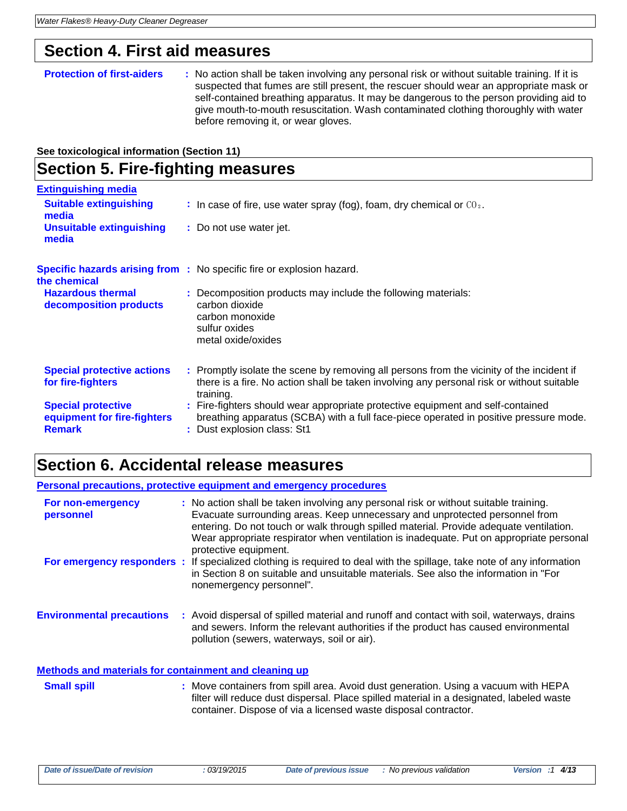## **Section 4. First aid measures**

#### **Protection of first-aiders** : No action shall be taken involving any personal risk or without suitable training. If it is suspected that fumes are still present, the rescuer should wear an appropriate mask or self-contained breathing apparatus. It may be dangerous to the person providing aid to give mouth-to-mouth resuscitation. Wash contaminated clothing thoroughly with water before removing it, or wear gloves.

**See toxicological information (Section 11)**

# **Section 5. Fire-fighting measures**

| <b>Extinguishing media</b>                                                |                                                                                                                                                                                                         |
|---------------------------------------------------------------------------|---------------------------------------------------------------------------------------------------------------------------------------------------------------------------------------------------------|
| <b>Suitable extinguishing</b><br>media                                    | : In case of fire, use water spray (fog), foam, dry chemical or $CO2$ .                                                                                                                                 |
| <b>Unsuitable extinguishing</b><br>media                                  | : Do not use water jet.                                                                                                                                                                                 |
| the chemical                                                              | <b>Specific hazards arising from :</b> No specific fire or explosion hazard.                                                                                                                            |
| <b>Hazardous thermal</b><br>decomposition products                        | : Decomposition products may include the following materials:<br>carbon dioxide<br>carbon monoxide<br>sulfur oxides<br>metal oxide/oxides                                                               |
| <b>Special protective actions</b><br>for fire-fighters                    | : Promptly isolate the scene by removing all persons from the vicinity of the incident if<br>there is a fire. No action shall be taken involving any personal risk or without suitable<br>training.     |
| <b>Special protective</b><br>equipment for fire-fighters<br><b>Remark</b> | : Fire-fighters should wear appropriate protective equipment and self-contained<br>breathing apparatus (SCBA) with a full face-piece operated in positive pressure mode.<br>: Dust explosion class: St1 |

# **Section 6. Accidental release measures**

|                                                              | Personal precautions, protective equipment and emergency procedures                                                                                                                                                                                                                                                                                                               |
|--------------------------------------------------------------|-----------------------------------------------------------------------------------------------------------------------------------------------------------------------------------------------------------------------------------------------------------------------------------------------------------------------------------------------------------------------------------|
| For non-emergency<br>personnel                               | : No action shall be taken involving any personal risk or without suitable training.<br>Evacuate surrounding areas. Keep unnecessary and unprotected personnel from<br>entering. Do not touch or walk through spilled material. Provide adequate ventilation.<br>Wear appropriate respirator when ventilation is inadequate. Put on appropriate personal<br>protective equipment. |
|                                                              | For emergency responders : If specialized clothing is required to deal with the spillage, take note of any information<br>in Section 8 on suitable and unsuitable materials. See also the information in "For<br>nonemergency personnel".                                                                                                                                         |
| <b>Environmental precautions</b>                             | : Avoid dispersal of spilled material and runoff and contact with soil, waterways, drains<br>and sewers. Inform the relevant authorities if the product has caused environmental<br>pollution (sewers, waterways, soil or air).                                                                                                                                                   |
| <b>Methods and materials for containment and cleaning up</b> |                                                                                                                                                                                                                                                                                                                                                                                   |
| <b>Small spill</b>                                           | : Move containers from spill area. Avoid dust generation. Using a vacuum with HEPA<br>filter will reduce dust dispersal. Place spilled material in a designated, labeled waste<br>container. Dispose of via a licensed waste disposal contractor.                                                                                                                                 |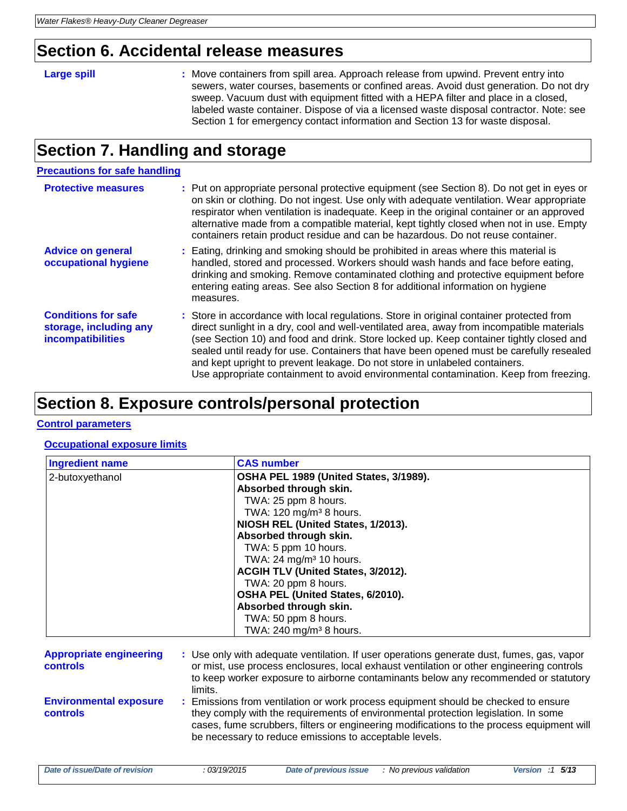## **Section 6. Accidental release measures**

**Large spill Example 20 Figure 10 Set 20 Figure 10 Set 20 Figure 20 Figure 20 Figure 20 Figure 20 Figure 20 Figure 20 Figure 20 Figure 20 Figure 20 Figure 20 Figure 20 Figure 20 Figure 20 Figure 20 Figure 20 Figure 20 Fi** sewers, water courses, basements or confined areas. Avoid dust generation. Do not dry sweep. Vacuum dust with equipment fitted with a HEPA filter and place in a closed, labeled waste container. Dispose of via a licensed waste disposal contractor. Note: see Section 1 for emergency contact information and Section 13 for waste disposal.

# **Section 7. Handling and storage**

### **Precautions for safe handling**

| <b>Protective measures</b>                                                       | : Put on appropriate personal protective equipment (see Section 8). Do not get in eyes or<br>on skin or clothing. Do not ingest. Use only with adequate ventilation. Wear appropriate<br>respirator when ventilation is inadequate. Keep in the original container or an approved<br>alternative made from a compatible material, kept tightly closed when not in use. Empty<br>containers retain product residue and can be hazardous. Do not reuse container.                                                                                    |
|----------------------------------------------------------------------------------|----------------------------------------------------------------------------------------------------------------------------------------------------------------------------------------------------------------------------------------------------------------------------------------------------------------------------------------------------------------------------------------------------------------------------------------------------------------------------------------------------------------------------------------------------|
| <b>Advice on general</b><br>occupational hygiene                                 | : Eating, drinking and smoking should be prohibited in areas where this material is<br>handled, stored and processed. Workers should wash hands and face before eating,<br>drinking and smoking. Remove contaminated clothing and protective equipment before<br>entering eating areas. See also Section 8 for additional information on hygiene<br>measures.                                                                                                                                                                                      |
| <b>Conditions for safe</b><br>storage, including any<br><b>incompatibilities</b> | : Store in accordance with local regulations. Store in original container protected from<br>direct sunlight in a dry, cool and well-ventilated area, away from incompatible materials<br>(see Section 10) and food and drink. Store locked up. Keep container tightly closed and<br>sealed until ready for use. Containers that have been opened must be carefully resealed<br>and kept upright to prevent leakage. Do not store in unlabeled containers.<br>Use appropriate containment to avoid environmental contamination. Keep from freezing. |

## **Section 8. Exposure controls/personal protection**

#### **Control parameters**

## **Occupational exposure limits**

| <b>Ingredient name</b> | <b>CAS number</b>                      |  |
|------------------------|----------------------------------------|--|
| 2-butoxyethanol        | OSHA PEL 1989 (United States, 3/1989). |  |
|                        | Absorbed through skin.                 |  |
|                        | TWA: 25 ppm 8 hours.                   |  |
|                        | TWA: $120 \text{ mg/m}^3$ 8 hours.     |  |
|                        | NIOSH REL (United States, 1/2013).     |  |
|                        | Absorbed through skin.                 |  |
|                        | TWA: 5 ppm 10 hours.                   |  |
|                        | TWA: 24 mg/m <sup>3</sup> 10 hours.    |  |
|                        | ACGIH TLV (United States, 3/2012).     |  |
|                        | TWA: 20 ppm 8 hours.                   |  |
|                        | OSHA PEL (United States, 6/2010).      |  |
|                        | Absorbed through skin.                 |  |
|                        | TWA: 50 ppm 8 hours.                   |  |
|                        | TWA: $240$ mg/m <sup>3</sup> 8 hours.  |  |

| <b>Appropriate engineering</b><br><b>controls</b> | : Use only with adequate ventilation. If user operations generate dust, fumes, gas, vapor<br>or mist, use process enclosures, local exhaust ventilation or other engineering controls<br>to keep worker exposure to airborne contaminants below any recommended or statutory<br>limits.                                         |
|---------------------------------------------------|---------------------------------------------------------------------------------------------------------------------------------------------------------------------------------------------------------------------------------------------------------------------------------------------------------------------------------|
| <b>Environmental exposure</b><br>controls         | : Emissions from ventilation or work process equipment should be checked to ensure<br>they comply with the requirements of environmental protection legislation. In some<br>cases, fume scrubbers, filters or engineering modifications to the process equipment will<br>be necessary to reduce emissions to acceptable levels. |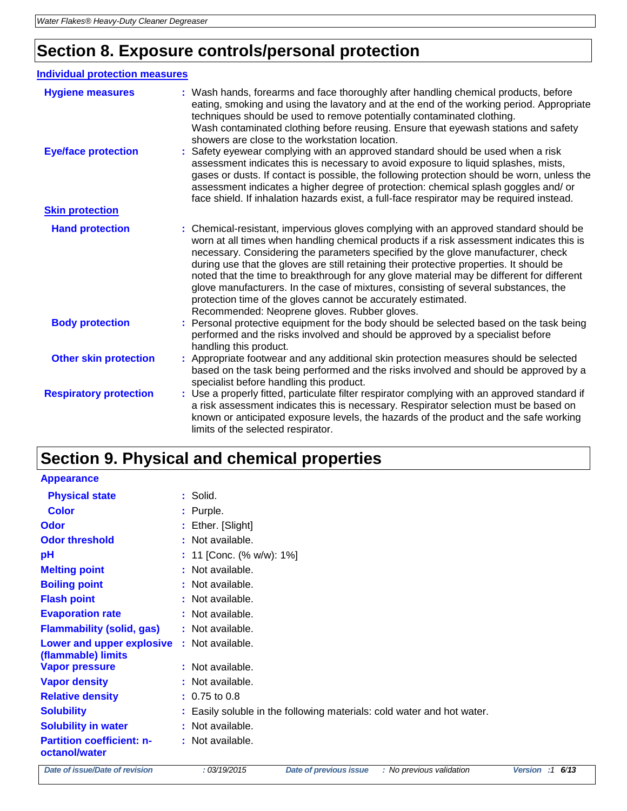# **Section 8. Exposure controls/personal protection**

## **Individual protection measures**

| <b>Hygiene measures</b>       | : Wash hands, forearms and face thoroughly after handling chemical products, before<br>eating, smoking and using the lavatory and at the end of the working period. Appropriate<br>techniques should be used to remove potentially contaminated clothing.<br>Wash contaminated clothing before reusing. Ensure that eyewash stations and safety<br>showers are close to the workstation location.                                                                                                                                                                                                                                                                      |
|-------------------------------|------------------------------------------------------------------------------------------------------------------------------------------------------------------------------------------------------------------------------------------------------------------------------------------------------------------------------------------------------------------------------------------------------------------------------------------------------------------------------------------------------------------------------------------------------------------------------------------------------------------------------------------------------------------------|
| <b>Eye/face protection</b>    | : Safety eyewear complying with an approved standard should be used when a risk<br>assessment indicates this is necessary to avoid exposure to liquid splashes, mists,<br>gases or dusts. If contact is possible, the following protection should be worn, unless the<br>assessment indicates a higher degree of protection: chemical splash goggles and/ or<br>face shield. If inhalation hazards exist, a full-face respirator may be required instead.                                                                                                                                                                                                              |
| <b>Skin protection</b>        |                                                                                                                                                                                                                                                                                                                                                                                                                                                                                                                                                                                                                                                                        |
| <b>Hand protection</b>        | : Chemical-resistant, impervious gloves complying with an approved standard should be<br>worn at all times when handling chemical products if a risk assessment indicates this is<br>necessary. Considering the parameters specified by the glove manufacturer, check<br>during use that the gloves are still retaining their protective properties. It should be<br>noted that the time to breakthrough for any glove material may be different for different<br>glove manufacturers. In the case of mixtures, consisting of several substances, the<br>protection time of the gloves cannot be accurately estimated.<br>Recommended: Neoprene gloves. Rubber gloves. |
| <b>Body protection</b>        | Personal protective equipment for the body should be selected based on the task being<br>performed and the risks involved and should be approved by a specialist before<br>handling this product.                                                                                                                                                                                                                                                                                                                                                                                                                                                                      |
| <b>Other skin protection</b>  | : Appropriate footwear and any additional skin protection measures should be selected<br>based on the task being performed and the risks involved and should be approved by a<br>specialist before handling this product.                                                                                                                                                                                                                                                                                                                                                                                                                                              |
| <b>Respiratory protection</b> | : Use a properly fitted, particulate filter respirator complying with an approved standard if<br>a risk assessment indicates this is necessary. Respirator selection must be based on<br>known or anticipated exposure levels, the hazards of the product and the safe working<br>limits of the selected respirator.                                                                                                                                                                                                                                                                                                                                                   |

# **Section 9. Physical and chemical properties**

**Appearance**

| <b>Physical state</b>                             | : Solid.                                                               |
|---------------------------------------------------|------------------------------------------------------------------------|
| <b>Color</b>                                      | : Purple.                                                              |
| Odor                                              | : Ether. [Slight]                                                      |
| <b>Odor threshold</b>                             | : Not available.                                                       |
| pH                                                | : 11 [Conc. (% w/w): 1%]                                               |
| <b>Melting point</b>                              | : Not available.                                                       |
| <b>Boiling point</b>                              | : Not available.                                                       |
| <b>Flash point</b>                                | : Not available.                                                       |
| <b>Evaporation rate</b>                           | : Not available.                                                       |
| <b>Flammability (solid, gas)</b>                  | : Not available.                                                       |
| Lower and upper explosive<br>(flammable) limits   | : Not available.                                                       |
| <b>Vapor pressure</b>                             | : Not available.                                                       |
| <b>Vapor density</b>                              | : Not available.                                                       |
| <b>Relative density</b>                           | $: 0.75$ to 0.8                                                        |
| <b>Solubility</b>                                 | : Easily soluble in the following materials: cold water and hot water. |
| <b>Solubility in water</b>                        | : Not available.                                                       |
| <b>Partition coefficient: n-</b><br>octanol/water | : Not available.                                                       |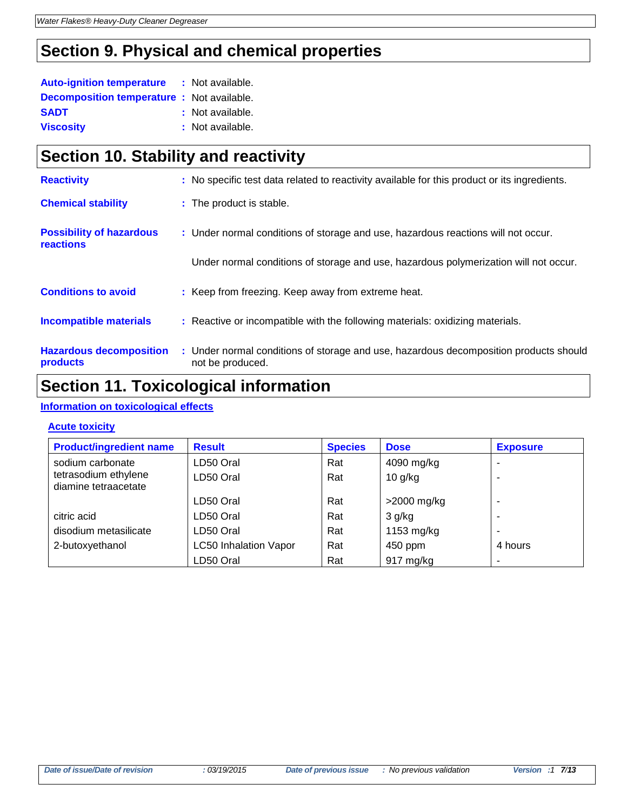# **Section 9. Physical and chemical properties**

| <b>Auto-ignition temperature</b>                  | : Not available. |
|---------------------------------------------------|------------------|
| <b>Decomposition temperature :</b> Not available. |                  |
| <b>SADT</b>                                       | : Not available. |
| <b>Viscosity</b>                                  | : Not available. |

# **Section 10. Stability and reactivity**

| <b>Reactivity</b>                            | : No specific test data related to reactivity available for this product or its ingredients.              |
|----------------------------------------------|-----------------------------------------------------------------------------------------------------------|
| <b>Chemical stability</b>                    | : The product is stable.                                                                                  |
| <b>Possibility of hazardous</b><br>reactions | : Under normal conditions of storage and use, hazardous reactions will not occur.                         |
|                                              | Under normal conditions of storage and use, hazardous polymerization will not occur.                      |
| <b>Conditions to avoid</b>                   | : Keep from freezing. Keep away from extreme heat.                                                        |
| <b>Incompatible materials</b>                | : Reactive or incompatible with the following materials: oxidizing materials.                             |
| <b>Hazardous decomposition</b><br>products   | : Under normal conditions of storage and use, hazardous decomposition products should<br>not be produced. |

# **Section 11. Toxicological information**

## **Information on toxicological effects**

## **Acute toxicity**

| <b>Product/ingredient name</b>               | <b>Result</b>                | <b>Species</b> | <b>Dose</b>         | <b>Exposure</b> |
|----------------------------------------------|------------------------------|----------------|---------------------|-----------------|
| sodium carbonate                             | LD50 Oral                    | Rat            | 4090 mg/kg          | $\blacksquare$  |
| tetrasodium ethylene<br>diamine tetraacetate | LD50 Oral                    | Rat            | $10$ g/kg           |                 |
|                                              | LD50 Oral                    | Rat            | $>$ 2000 mg/kg      |                 |
| citric acid                                  | LD50 Oral                    | Rat            | $3$ g/kg            |                 |
| disodium metasilicate                        | LD50 Oral                    | Rat            | 1153 mg/kg          | $\blacksquare$  |
| 2-butoxyethanol                              | <b>LC50 Inhalation Vapor</b> | Rat            | 450 ppm             | 4 hours         |
|                                              | LD50 Oral                    | Rat            | $917 \text{ mg/kg}$ | ۰               |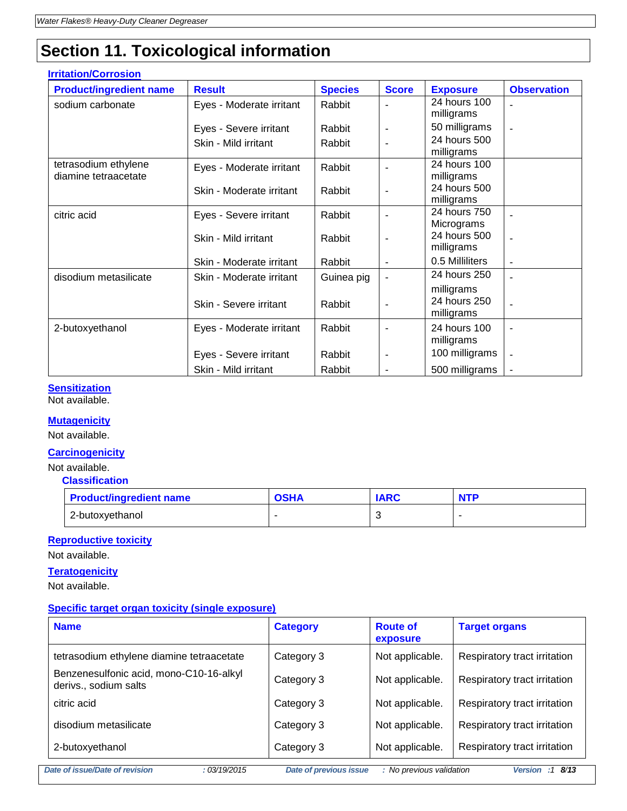# **Section 11. Toxicological information**

| <b>Irritation/Corrosion</b>    |                          |                |                |                            |                    |
|--------------------------------|--------------------------|----------------|----------------|----------------------------|--------------------|
| <b>Product/ingredient name</b> | <b>Result</b>            | <b>Species</b> | <b>Score</b>   | <b>Exposure</b>            | <b>Observation</b> |
| sodium carbonate               | Eyes - Moderate irritant | Rabbit         |                | 24 hours 100               |                    |
|                                |                          |                |                | milligrams                 |                    |
|                                | Eyes - Severe irritant   | Rabbit         | $\overline{a}$ | 50 milligrams              |                    |
|                                | Skin - Mild irritant     | Rabbit         |                | 24 hours 500               |                    |
|                                |                          |                |                | milligrams                 |                    |
| tetrasodium ethylene           | Eyes - Moderate irritant | Rabbit         |                | 24 hours 100               |                    |
| diamine tetraacetate           |                          |                |                | milligrams                 |                    |
|                                | Skin - Moderate irritant | Rabbit         | $\blacksquare$ | 24 hours 500               |                    |
|                                |                          |                |                | milligrams<br>24 hours 750 |                    |
| citric acid                    | Eyes - Severe irritant   | Rabbit         |                | Micrograms                 |                    |
|                                |                          |                |                | 24 hours 500               |                    |
|                                | Skin - Mild irritant     | Rabbit         |                | milligrams                 |                    |
|                                | Skin - Moderate irritant | Rabbit         |                | 0.5 Milliliters            | $\blacksquare$     |
| disodium metasilicate          | Skin - Moderate irritant | Guinea pig     |                | 24 hours 250               |                    |
|                                |                          |                |                | milligrams                 |                    |
|                                | Skin - Severe irritant   | Rabbit         |                | 24 hours 250               |                    |
|                                |                          |                |                | milligrams                 |                    |
| 2-butoxyethanol                | Eyes - Moderate irritant | Rabbit         |                | 24 hours 100               |                    |
|                                |                          |                |                | milligrams                 |                    |
|                                | Eyes - Severe irritant   | Rabbit         | $\overline{a}$ | 100 milligrams             |                    |
|                                | Skin - Mild irritant     | Rabbit         |                | 500 milligrams             |                    |

## **Sensitization**

Not available.

## **Mutagenicity**

Not available.

## **Carcinogenicity**

Not available.

 **Classification**

| <b>Product/ingredient name</b> | วรหA | <b>IARC</b> | <b>NTF</b> |
|--------------------------------|------|-------------|------------|
| 2-butoxyethanol                |      |             |            |

## **Reproductive toxicity**

Not available.

## **Teratogenicity**

Not available.

## **Specific target organ toxicity (single exposure)**

| <b>Name</b>                                                      | <b>Category</b>               | <b>Route of</b><br>exposure | <b>Target organs</b>         |
|------------------------------------------------------------------|-------------------------------|-----------------------------|------------------------------|
| tetrasodium ethylene diamine tetraacetate                        | Category 3                    | Not applicable.             | Respiratory tract irritation |
| Benzenesulfonic acid, mono-C10-16-alkyl<br>derivs., sodium salts | Category 3                    | Not applicable.             | Respiratory tract irritation |
| citric acid                                                      | Category 3                    | Not applicable.             | Respiratory tract irritation |
| disodium metasilicate                                            | Category 3                    | Not applicable.             | Respiratory tract irritation |
| 2-butoxyethanol                                                  | Category 3                    | Not applicable.             | Respiratory tract irritation |
| Date of issue/Date of revision<br>: 03/19/2015                   | <b>Date of previous issue</b> | : No previous validation    | Version :1 $8/13$            |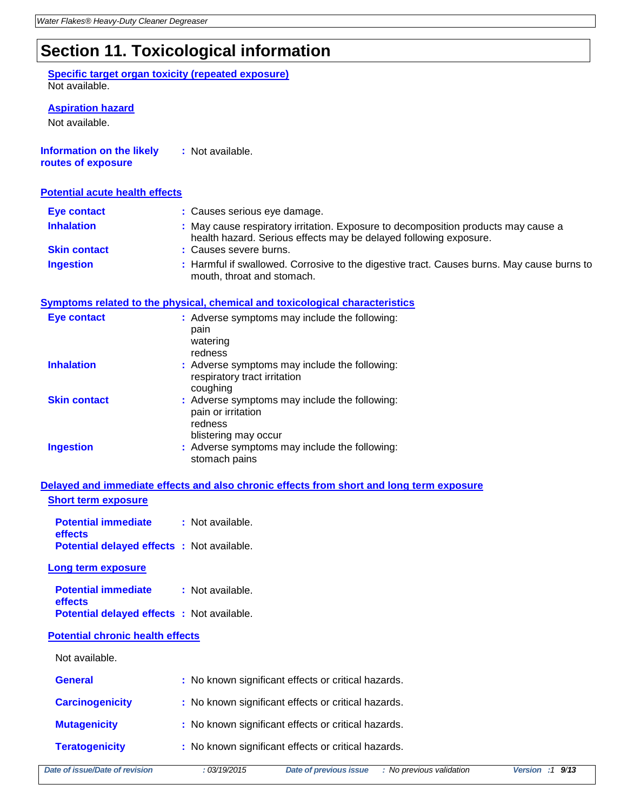# **Section 11. Toxicological information**

### **Specific target organ toxicity (repeated exposure)** Not available.

### **Aspiration hazard**

Not available.

**Information on the likely :** Not available. **routes of exposure**

### **Potential acute health effects**

| <b>Eye contact</b>  | : Causes serious eye damage.                                                                                                                            |
|---------------------|---------------------------------------------------------------------------------------------------------------------------------------------------------|
| <b>Inhalation</b>   | : May cause respiratory irritation. Exposure to decomposition products may cause a<br>health hazard. Serious effects may be delayed following exposure. |
| <b>Skin contact</b> | : Causes severe burns.                                                                                                                                  |
| <b>Ingestion</b>    | : Harmful if swallowed. Corrosive to the digestive tract. Causes burns. May cause burns to<br>mouth, throat and stomach.                                |

## **Symptoms related to the physical, chemical and toxicological characteristics**

| Eye contact         | : Adverse symptoms may include the following:<br>pain<br>watering<br>redness                           |
|---------------------|--------------------------------------------------------------------------------------------------------|
| <b>Inhalation</b>   | : Adverse symptoms may include the following:<br>respiratory tract irritation<br>coughing              |
| <b>Skin contact</b> | : Adverse symptoms may include the following:<br>pain or irritation<br>redness<br>blistering may occur |
| <b>Ingestion</b>    | : Adverse symptoms may include the following:<br>stomach pains                                         |

## **Delayed and immediate effects and also chronic effects from short and long term exposure Short term exposure**

| <b>Potential immediate</b>                       | : Not available. |
|--------------------------------------------------|------------------|
| effects                                          |                  |
| <b>Potential delayed effects:</b> Not available. |                  |

#### **Long term exposure**

| <b>Potential immediate</b>                        | : Not available. |
|---------------------------------------------------|------------------|
| <b>effects</b>                                    |                  |
| <b>Potential delayed effects : Not available.</b> |                  |

### **Potential chronic health effects**

| Not available.         |                                                     |
|------------------------|-----------------------------------------------------|
| <b>General</b>         | : No known significant effects or critical hazards. |
| <b>Carcinogenicity</b> | : No known significant effects or critical hazards. |
| <b>Mutagenicity</b>    | : No known significant effects or critical hazards. |
| <b>Teratogenicity</b>  | : No known significant effects or critical hazards. |
|                        |                                                     |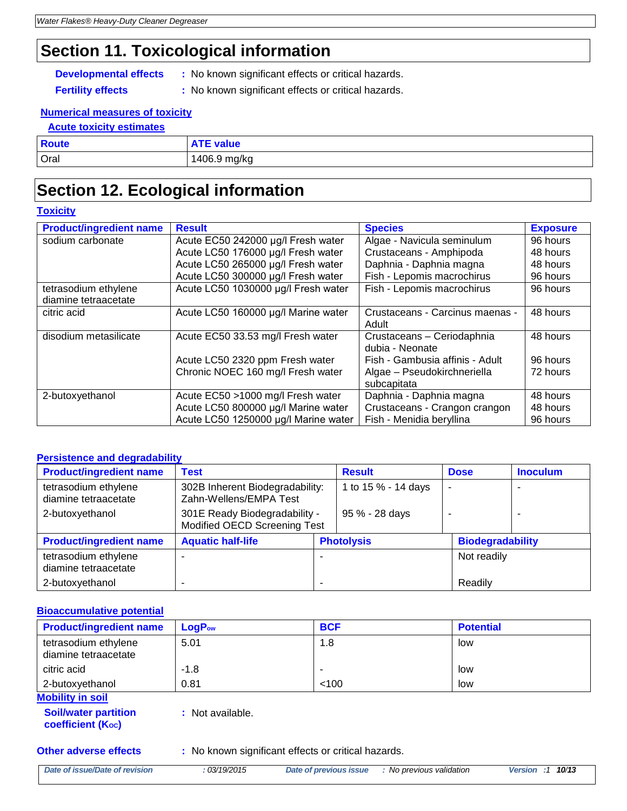# **Section 11. Toxicological information**

- **Developmental effects :** No known significant effects or critical hazards.
	-
- **Fertility effects** : No known significant effects or critical hazards.

## **Numerical measures of toxicity**

| <b>Acute toxicity estimates</b> |                  |
|---------------------------------|------------------|
| <b>Route</b>                    | <b>ATE value</b> |
| <b>Oral</b>                     | 1406.9 mg/kg     |

# **Section 12. Ecological information**

## **Toxicity**

| <b>Product/ingredient name</b> | <b>Result</b>                        | <b>Species</b>                  | <b>Exposure</b> |
|--------------------------------|--------------------------------------|---------------------------------|-----------------|
| sodium carbonate               | Acute EC50 242000 µg/l Fresh water   | Algae - Navicula seminulum      | 96 hours        |
|                                | Acute LC50 176000 µg/l Fresh water   | Crustaceans - Amphipoda         | 48 hours        |
|                                | Acute LC50 265000 µg/l Fresh water   | Daphnia - Daphnia magna         | 48 hours        |
|                                | Acute LC50 300000 µg/l Fresh water   | Fish - Lepomis macrochirus      | 96 hours        |
| tetrasodium ethylene           | Acute LC50 1030000 µg/l Fresh water  | Fish - Lepomis macrochirus      | 96 hours        |
| diamine tetraacetate           |                                      |                                 |                 |
| citric acid                    | Acute LC50 160000 µg/l Marine water  | Crustaceans - Carcinus maenas - | 48 hours        |
|                                |                                      | Adult                           |                 |
| disodium metasilicate          | Acute EC50 33.53 mg/l Fresh water    | Crustaceans - Ceriodaphnia      | 48 hours        |
|                                |                                      | dubia - Neonate                 |                 |
|                                | Acute LC50 2320 ppm Fresh water      | Fish - Gambusia affinis - Adult | 96 hours        |
|                                | Chronic NOEC 160 mg/l Fresh water    | Algae - Pseudokirchneriella     | 72 hours        |
|                                |                                      | subcapitata                     |                 |
| 2-butoxyethanol                | Acute EC50 >1000 mg/l Fresh water    | Daphnia - Daphnia magna         | 48 hours        |
|                                | Acute LC50 800000 µg/l Marine water  | Crustaceans - Crangon crangon   | 48 hours        |
|                                | Acute LC50 1250000 µg/l Marine water | Fish - Menidia beryllina        | 96 hours        |

## **Persistence and degradability**

| <b>Product/ingredient name</b>               | <b>Test</b>                                                   |                   | <b>Result</b>       | <b>Dose</b>              | <b>Inoculum</b> |
|----------------------------------------------|---------------------------------------------------------------|-------------------|---------------------|--------------------------|-----------------|
| tetrasodium ethylene<br>diamine tetraacetate | 302B Inherent Biodegradability:<br>Zahn-Wellens/EMPA Test     |                   | 1 to 15 % - 14 days | $\overline{\phantom{a}}$ |                 |
| 2-butoxyethanol                              | 301E Ready Biodegradability -<br>Modified OECD Screening Test |                   | 95 % - 28 days      |                          |                 |
| <b>Product/ingredient name</b>               | <b>Aquatic half-life</b>                                      | <b>Photolysis</b> |                     | <b>Biodegradability</b>  |                 |
| tetrasodium ethylene<br>diamine tetraacetate |                                                               |                   |                     | Not readily              |                 |
| 2-butoxyethanol                              |                                                               | -                 |                     | Readily                  |                 |

## **Bioaccumulative potential**

| <b>Product/ingredient name</b>               | <b>LoaP</b> <sub>ow</sub> | <b>BCF</b> | <b>Potential</b> |
|----------------------------------------------|---------------------------|------------|------------------|
| tetrasodium ethylene<br>diamine tetraacetate | 5.01                      | 1.8        | low              |
| citric acid                                  | $-1.8$                    | -          | low              |
| 2-butoxyethanol                              | 0.81                      | < 100      | low              |
| Mahilin, in aail                             |                           |            |                  |

#### **Mobility in soil**

**Soil/water partition coefficient (KOC)**

**:** Not available.

**Other adverse effects** : No known significant effects or critical hazards.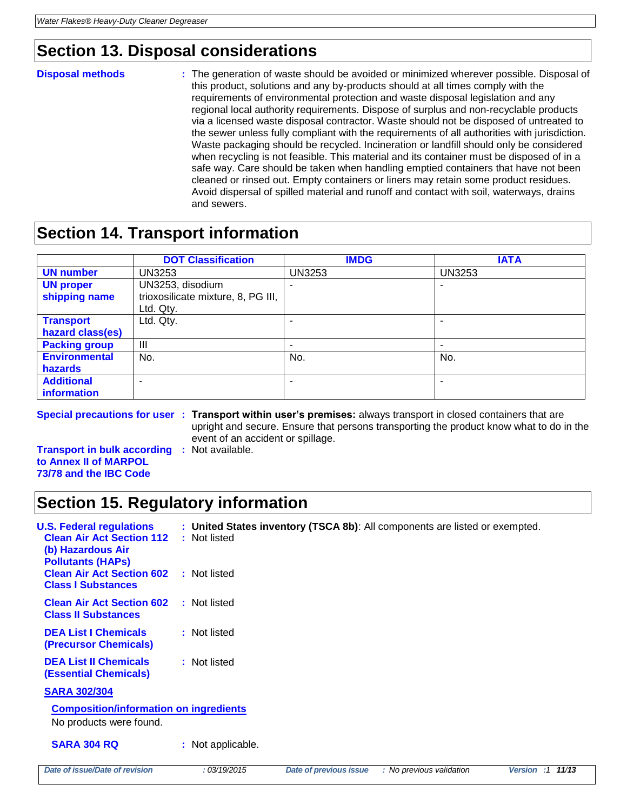# **Section 13. Disposal considerations**

**Disposal methods :** The generation of waste should be avoided or minimized wherever possible. Disposal of this product, solutions and any by-products should at all times comply with the requirements of environmental protection and waste disposal legislation and any regional local authority requirements. Dispose of surplus and non-recyclable products via a licensed waste disposal contractor. Waste should not be disposed of untreated to the sewer unless fully compliant with the requirements of all authorities with jurisdiction. Waste packaging should be recycled. Incineration or landfill should only be considered when recycling is not feasible. This material and its container must be disposed of in a safe way. Care should be taken when handling emptied containers that have not been cleaned or rinsed out. Empty containers or liners may retain some product residues. Avoid dispersal of spilled material and runoff and contact with soil, waterways, drains and sewers.

# **Section 14. Transport information**

|                      | <b>DOT Classification</b>          | <b>IMDG</b>   | <b>IATA</b>   |
|----------------------|------------------------------------|---------------|---------------|
| <b>UN number</b>     | <b>UN3253</b>                      | <b>UN3253</b> | <b>UN3253</b> |
| <b>UN proper</b>     | UN3253, disodium                   |               |               |
| shipping name        | trioxosilicate mixture, 8, PG III, |               |               |
|                      | Ltd. Qty.                          |               |               |
| <b>Transport</b>     | Ltd. Qty.                          |               |               |
| hazard class(es)     |                                    |               |               |
| <b>Packing group</b> | $\mathbf{III}$                     |               |               |
| <b>Environmental</b> | No.                                | No.           | No.           |
| hazards              |                                    |               |               |
| <b>Additional</b>    | $\overline{\phantom{a}}$           | ۰             | -             |
| information          |                                    |               |               |

**Special precautions for user : Transport within user's premises:** always transport in closed containers that are upright and secure. Ensure that persons transporting the product know what to do in the event of an accident or spillage.

**Transport in bulk according :** Not available. **to Annex II of MARPOL 73/78 and the IBC Code**

# **Section 15. Regulatory information**

| <b>U.S. Federal regulations</b><br><b>Clean Air Act Section 112</b><br>(b) Hazardous Air<br><b>Pollutants (HAPs)</b> | : Not listed      |                        | : United States inventory (TSCA 8b): All components are listed or exempted. |                  |
|----------------------------------------------------------------------------------------------------------------------|-------------------|------------------------|-----------------------------------------------------------------------------|------------------|
| <b>Clean Air Act Section 602</b><br><b>Class I Substances</b>                                                        | : Not listed      |                        |                                                                             |                  |
| <b>Clean Air Act Section 602</b><br><b>Class II Substances</b>                                                       | : Not listed      |                        |                                                                             |                  |
| <b>DEA List I Chemicals</b><br><b>(Precursor Chemicals)</b>                                                          | : Not listed      |                        |                                                                             |                  |
| <b>DEA List II Chemicals</b><br><b>(Essential Chemicals)</b>                                                         | : Not listed      |                        |                                                                             |                  |
| <b>SARA 302/304</b>                                                                                                  |                   |                        |                                                                             |                  |
| <b>Composition/information on ingredients</b><br>No products were found.                                             |                   |                        |                                                                             |                  |
| <b>SARA 304 RQ</b>                                                                                                   | : Not applicable. |                        |                                                                             |                  |
| Date of issue/Date of revision                                                                                       | : 03/19/2015      | Date of previous issue | : No previous validation                                                    | Version :1 11/13 |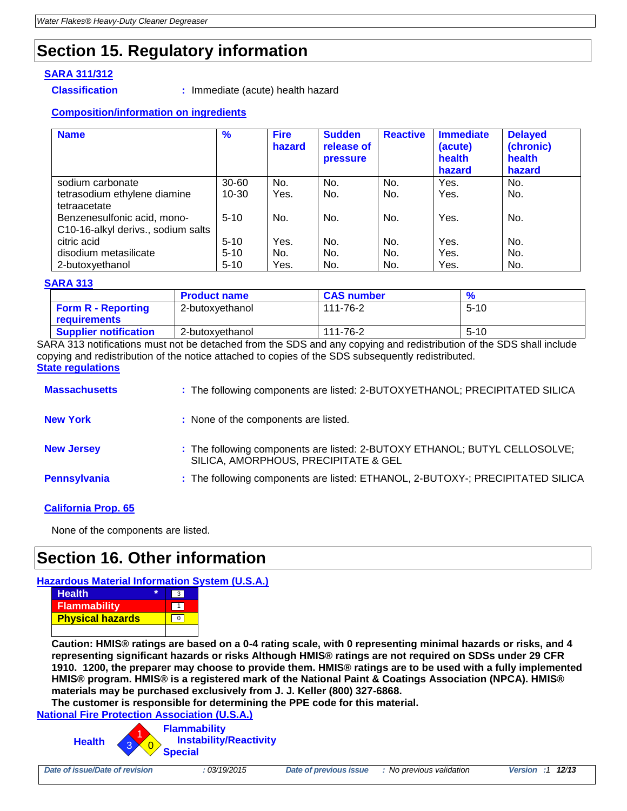# **Section 15. Regulatory information**

## **SARA 311/312**

**Classification :** Immediate (acute) health hazard

## **Composition/information on ingredients**

| <b>Name</b>                        | $\frac{9}{6}$ | <b>Fire</b><br>hazard | <b>Sudden</b><br>release of<br>pressure | <b>Reactive</b> | <b>Immediate</b><br>(acute)<br>health<br>hazard | <b>Delayed</b><br>(chronic)<br>health<br>hazard |
|------------------------------------|---------------|-----------------------|-----------------------------------------|-----------------|-------------------------------------------------|-------------------------------------------------|
| sodium carbonate                   | $30 - 60$     | No.                   | No.                                     | No.             | Yes.                                            | No.                                             |
| tetrasodium ethylene diamine       | $10 - 30$     | Yes.                  | No.                                     | No.             | Yes.                                            | No.                                             |
| tetraacetate                       |               |                       |                                         |                 |                                                 |                                                 |
| Benzenesulfonic acid, mono-        | $5 - 10$      | No.                   | No.                                     | No.             | Yes.                                            | No.                                             |
| C10-16-alkyl derivs., sodium salts |               |                       |                                         |                 |                                                 |                                                 |
| citric acid                        | $5 - 10$      | Yes.                  | No.                                     | No.             | Yes.                                            | No.                                             |
| disodium metasilicate              | $5 - 10$      | No.                   | No.                                     | No.             | Yes.                                            | No.                                             |
| 2-butoxyethanol                    | $5 - 10$      | Yes.                  | No.                                     | No.             | Yes.                                            | No.                                             |

## **SARA 313**

|                              | <b>Product name</b> | <b>CAS number</b> |          |
|------------------------------|---------------------|-------------------|----------|
| <b>Form R - Reporting</b>    | 2-butoxvethanol     | 111-76-2          | $5 - 10$ |
| <b>requirements</b>          |                     |                   |          |
| <b>Supplier notification</b> | 2-butoxvethanol     | 111-76-2          | $5 - 10$ |

SARA 313 notifications must not be detached from the SDS and any copying and redistribution of the SDS shall include copying and redistribution of the notice attached to copies of the SDS subsequently redistributed. **State regulations**

| <b>Massachusetts</b> | : The following components are listed: 2-BUTOXYETHANOL; PRECIPITATED SILICA                                        |
|----------------------|--------------------------------------------------------------------------------------------------------------------|
| <b>New York</b>      | : None of the components are listed.                                                                               |
| <b>New Jersey</b>    | : The following components are listed: 2-BUTOXY ETHANOL; BUTYL CELLOSOLVE;<br>SILICA, AMORPHOUS, PRECIPITATE & GEL |
| Pennsylvania         | : The following components are listed: ETHANOL, 2-BUTOXY-; PRECIPITATED SILICA                                     |

## **California Prop. 65**

None of the components are listed.

# **Section 16. Other information**

## **Hazardous Material Information System (U.S.A.)**



**Caution: HMIS® ratings are based on a 0-4 rating scale, with 0 representing minimal hazards or risks, and 4 representing significant hazards or risks Although HMIS® ratings are not required on SDSs under 29 CFR 1910. 1200, the preparer may choose to provide them. HMIS® ratings are to be used with a fully implemented HMIS® program. HMIS® is a registered mark of the National Paint & Coatings Association (NPCA). HMIS® materials may be purchased exclusively from J. J. Keller (800) 327-6868.**

**The customer is responsible for determining the PPE code for this material. National Fire Protection Association (U.S.A.)**

**Health Flammability Instability/Reactivity Special** 0